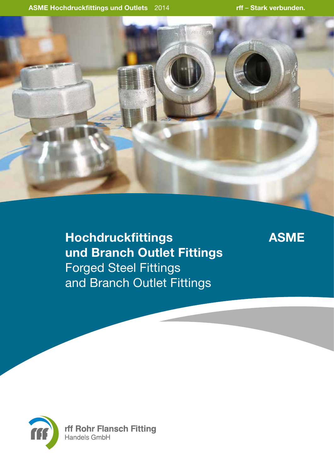**ASME Hochdruckfittings und Outlets** 2014 **rff** – **Stark verbunden.**



**Hochdruckfittings ASME und Branch Outlet Fittings** Forged Steel Fittings and Branch Outlet Fittings

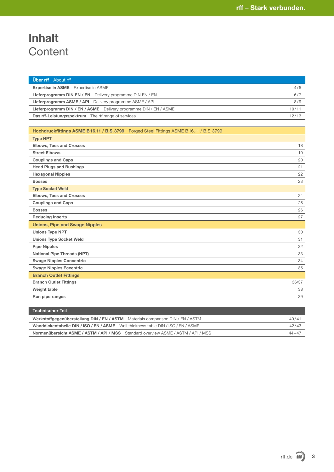# **Inhalt Content**

| <b>Über rff</b> About rff                                                               |       |
|-----------------------------------------------------------------------------------------|-------|
| Expertise in ASME Expertise in ASME                                                     | 4/5   |
| Lieferprogramm DIN EN / EN Delivery programme DIN EN / EN                               | 6/7   |
| Lieferprogramm ASME / API Delivery programme ASME / API                                 | 8/9   |
| Lieferprogramm DIN / EN / ASME  Delivery programme DIN / EN / ASME                      | 10/11 |
| Das rff-Leistungsspektrum The rff range of services                                     | 12/13 |
|                                                                                         |       |
| Hochdruckfittings ASME B16.11 / B.S. 3799 Forged Steel Fittings ASME B16.11 / B.S. 3799 |       |
| <b>Type NPT</b>                                                                         |       |
| <b>Elbows, Tees and Crosses</b>                                                         | 18    |
| <b>Street Elbows</b>                                                                    | 19    |
| <b>Couplings and Caps</b>                                                               | 20    |
| <b>Head Plugs and Bushings</b>                                                          | 21    |
| <b>Hexagonal Nipples</b>                                                                | 22    |
| <b>Bosses</b>                                                                           | 23    |
| <b>Type Socket Weld</b>                                                                 |       |
| <b>Elbows, Tees and Crosses</b>                                                         | 24    |
| <b>Couplings and Caps</b>                                                               | 25    |
| <b>Bosses</b>                                                                           | 26    |
| <b>Reducing Inserts</b>                                                                 | 27    |
| <b>Unions, Pipe and Swage Nipples</b>                                                   |       |
| <b>Unions Type NPT</b>                                                                  | 30    |
| <b>Unions Type Socket Weld</b>                                                          | 31    |
| <b>Pipe Nipples</b>                                                                     | 32    |
| <b>National Pipe Threads (NPT)</b>                                                      | 33    |
| <b>Swage Nipples Concentric</b>                                                         | 34    |
| <b>Swage Nipples Eccentric</b>                                                          | 35    |
| <b>Branch Outlet Fittings</b>                                                           |       |
| <b>Branch Outlet Fittings</b>                                                           | 36/37 |
| Weight table                                                                            | 38    |
| Run pipe ranges                                                                         | 39    |
|                                                                                         |       |
| Toobnicobor Toil                                                                        |       |

| Technischer Teil                                                                   |           |
|------------------------------------------------------------------------------------|-----------|
| Werkstoffgegenüberstellung DIN / EN / ASTM Materials comparison DIN / EN / ASTM    | $40/4^3$  |
| Wanddickentabelle DIN / ISO / EN / ASME Wall thickness table DIN / ISO / EN / ASME | 42/43     |
| Normenübersicht ASME / ASTM / API / MSS Standard overview ASME / ASTM / API / MSS  | $44 - 47$ |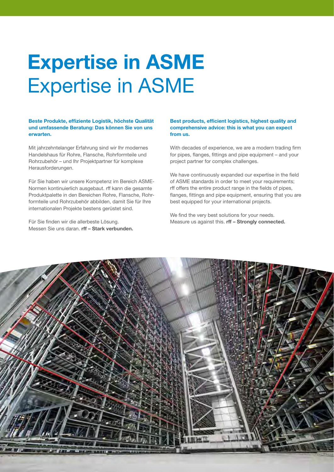# **Expertise in ASME** Expertise in ASME

**Beste Produkte, effiziente Logistik, höchste Qualität und umfassende Beratung: Das können Sie von uns erwarten.** 

Mit jahrzehntelanger Erfahrung sind wir Ihr modernes Handelshaus für Rohre, Flansche, Rohrformteile und Rohrzubehör – und Ihr Projektpartner für komplexe Herausforderungen.

Für Sie haben wir unsere Kompetenz im Bereich ASME-Normen kontinuierlich ausgebaut. rff kann die gesamte Produktpalette in den Bereichen Rohre, Flansche, Rohrformteile und Rohrzubehör abbilden, damit Sie für Ihre internationalen Projekte bestens gerüstet sind.

Für Sie finden wir die allerbeste Lösung. Messen Sie uns daran. **rff – Stark verbunden.**

#### **Best products, efficient logistics, highest quality and comprehensive advice: this is what you can expect from us.**

With decades of experience, we are a modern trading firm for pipes, flanges, fittings and pipe equipment – and your project partner for complex challenges.

We have continuously expanded our expertise in the field of ASME standards in order to meet your requirements; rff offers the entire product range in the fields of pipes, flanges, fittings and pipe equipment, ensuring that you are best equipped for your international projects.

We find the very best solutions for your needs. Measure us against this. **rff – Strongly connected.**

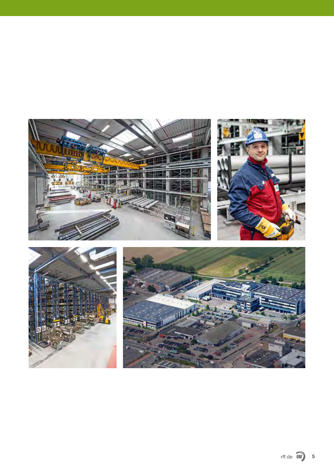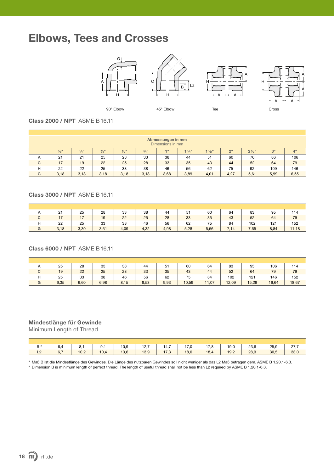## **Elbows, Tees and Crosses**



**Class 2000 / NPT** ASME B16.11

|   | Abmessungen in mm<br>Dimensions in mm |                     |                             |               |                     |                 |                |                  |                 |                  |                 |      |  |
|---|---------------------------------------|---------------------|-----------------------------|---------------|---------------------|-----------------|----------------|------------------|-----------------|------------------|-----------------|------|--|
|   | $\frac{1}{8}$ <sup>II</sup>           | $1/4$ <sup>11</sup> | $\frac{3}{8}$ <sup>11</sup> | $\frac{1}{2}$ | $3/4$ <sup>11</sup> | 1 <sup>11</sup> | $1\frac{1}{4}$ | $1\frac{1}{2}$ " | 2 <sup>11</sup> | $2\frac{1}{2}$ " | 3 <sup>''</sup> | 4"   |  |
| А | 21                                    | 21                  | 25                          | 28            | 33                  | 38              | 44             | 51               | 60              | 76               | 86              | 106  |  |
| C | 17                                    | 19                  | 22                          | 25            | 28                  | 33              | 35             | 43               | 44              | 52               | 64              | 79   |  |
| н | 22                                    | 22                  | 25                          | 33            | 38                  | 46              | 56             | 62               | 75              | 92               | 109             | 146  |  |
| G | 3,18                                  | 3,18                | 3,18                        | 3,18          | 3,18                | 3,68            | 3,89           | 4,01             | 4,27            | 5,61             | 5,99            | 6,55 |  |

#### **Class 3000 / NPT** ASME B16.11

|   | 21   | 25   | 28   | 33   | 38          | 44   | 51   | 60   | 64   | 83   | 95   | 114   |
|---|------|------|------|------|-------------|------|------|------|------|------|------|-------|
|   | 17   | 17   | 19   | 22   | 25          | 28   | 33   | 35   | 43   | 52   | 64   | 79    |
|   | 22   | 25   | 33   | 38   | $\sqrt{46}$ | 56   | 62   | 75   | 84   | 102  | 121  | 152   |
| G | 3.18 | 3,30 | 3,51 | 4,09 | 4,32        | 4,98 | 5,28 | 5,56 | 7.14 | 7,65 | 8,84 | 11,18 |

#### **Class 6000 / NPT** ASME B16.11

| n. | 25   | 28   | 33   | 38   | 44   | 51   | 60    | 64    | 83    | 95    | 106   | 114   |
|----|------|------|------|------|------|------|-------|-------|-------|-------|-------|-------|
| v  | 19   | 22   | 25   | 28   | 33   | 35   | 43    | 44    | 52    | 64    | 79    | 79    |
|    | 25   | 33   | 38   | 46   | 56   | 62   | 75    | 84    | 102   | 121   | 146   | 152   |
| u  | 6,35 | 6.60 | 6,98 | 8,15 | 8,53 | 9,93 | 10,59 | 11.07 | 12.09 | 15,29 | 16.64 | 18,67 |

#### **Mindestlänge für Gewinde**

Minimum Length of Thread

|  |  |  |  |  | $B^a$   6,4   8,1   9,1   10,9   12,7   14,7   17,0   17,8   19,0   23,6 | $25,9$   $27,7$      |      |
|--|--|--|--|--|--------------------------------------------------------------------------|----------------------|------|
|  |  |  |  |  |                                                                          | $\vert$ 30,5 $\vert$ | 33,0 |

ª Maß B ist die Mindestlänge des Gewindes. Die Länge des nutzbaren Gewindes soll nicht weniger als das L2 Maß betragen gem. ASME B 1.20.1-6.3.<br>ª Dimension B is minimum length of perfect thread. The length of useful thread